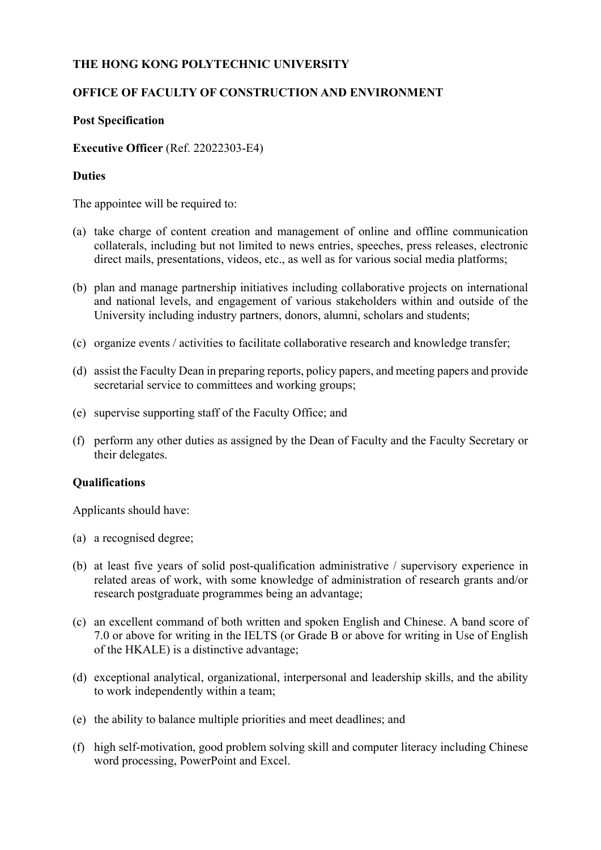### **THE HONG KONG POLYTECHNIC UNIVERSITY**

# **OFFICE OF FACULTY OF CONSTRUCTION AND ENVIRONMENT**

#### **Post Specification**

**Executive Officer** (Ref. 22022303-E4)

## **Duties**

The appointee will be required to:

- (a) take charge of content creation and management of online and offline communication collaterals, including but not limited to news entries, speeches, press releases, electronic direct mails, presentations, videos, etc., as well as for various social media platforms;
- (b) plan and manage partnership initiatives including collaborative projects on international and national levels, and engagement of various stakeholders within and outside of the University including industry partners, donors, alumni, scholars and students;
- (c) organize events / activities to facilitate collaborative research and knowledge transfer;
- (d) assist the Faculty Dean in preparing reports, policy papers, and meeting papers and provide secretarial service to committees and working groups;
- (e) supervise supporting staff of the Faculty Office; and
- (f) perform any other duties as assigned by the Dean of Faculty and the Faculty Secretary or their delegates.

# **Qualifications**

Applicants should have:

- (a) a recognised degree;
- (b) at least five years of solid post-qualification administrative / supervisory experience in related areas of work, with some knowledge of administration of research grants and/or research postgraduate programmes being an advantage;
- (c) an excellent command of both written and spoken English and Chinese. A band score of 7.0 or above for writing in the IELTS (or Grade B or above for writing in Use of English of the HKALE) is a distinctive advantage;
- (d) exceptional analytical, organizational, interpersonal and leadership skills, and the ability to work independently within a team;
- (e) the ability to balance multiple priorities and meet deadlines; and
- (f) high self-motivation, good problem solving skill and computer literacy including Chinese word processing, PowerPoint and Excel.